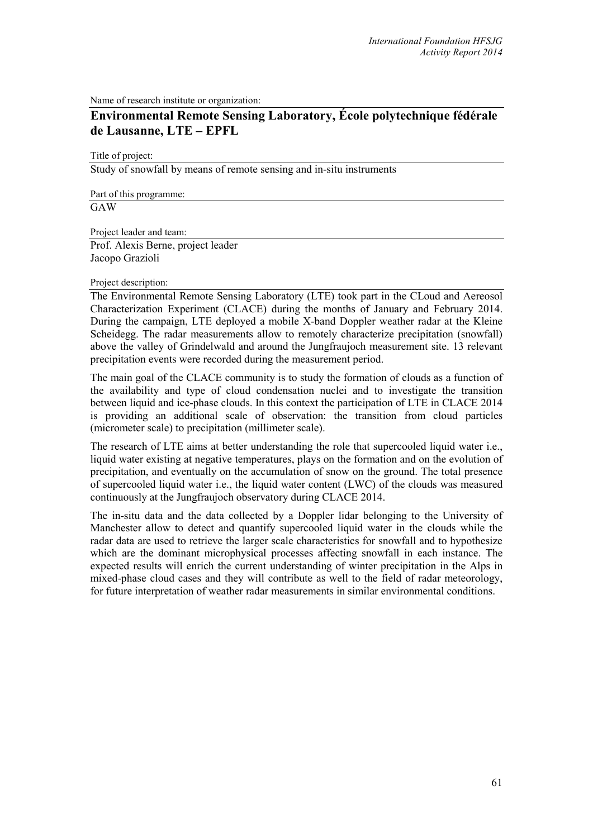Name of research institute or organization:

## **Environmental Remote Sensing Laboratory, École polytechnique fédérale de Lausanne, LTE – EPFL**

Title of project:

Study of snowfall by means of remote sensing and in-situ instruments

Part of this programme:

GAW

Project leader and team:

Prof. Alexis Berne, project leader Jacopo Grazioli

## Project description:

The Environmental Remote Sensing Laboratory (LTE) took part in the CLoud and Aereosol Characterization Experiment (CLACE) during the months of January and February 2014. During the campaign, LTE deployed a mobile X-band Doppler weather radar at the Kleine Scheidegg. The radar measurements allow to remotely characterize precipitation (snowfall) above the valley of Grindelwald and around the Jungfraujoch measurement site. 13 relevant precipitation events were recorded during the measurement period.

The main goal of the CLACE community is to study the formation of clouds as a function of the availability and type of cloud condensation nuclei and to investigate the transition between liquid and ice-phase clouds. In this context the participation of LTE in CLACE 2014 is providing an additional scale of observation: the transition from cloud particles (micrometer scale) to precipitation (millimeter scale).

The research of LTE aims at better understanding the role that supercooled liquid water i.e., liquid water existing at negative temperatures, plays on the formation and on the evolution of precipitation, and eventually on the accumulation of snow on the ground. The total presence of supercooled liquid water i.e., the liquid water content (LWC) of the clouds was measured continuously at the Jungfraujoch observatory during CLACE 2014.

The in-situ data and the data collected by a Doppler lidar belonging to the University of Manchester allow to detect and quantify supercooled liquid water in the clouds while the radar data are used to retrieve the larger scale characteristics for snowfall and to hypothesize which are the dominant microphysical processes affecting snowfall in each instance. The expected results will enrich the current understanding of winter precipitation in the Alps in mixed-phase cloud cases and they will contribute as well to the field of radar meteorology, for future interpretation of weather radar measurements in similar environmental conditions.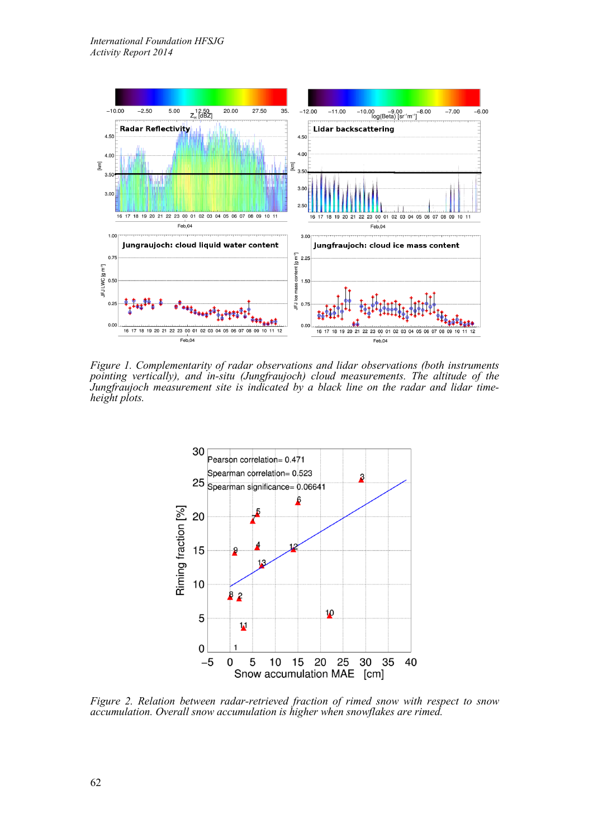

*Figure 1. Complementarity of radar observations and lidar observations (both instruments pointing vertically), and in-situ (Jungfraujoch) cloud measurements. The altitude of the Jungfraujoch measurement site is indicated by a black line on the radar and lidar time- height plots.*



*Figure 2. Relation between radar-retrieved fraction of rimed snow with respect to snow accumulation. Overall snow accumulation is higher when snowflakes are rimed.*